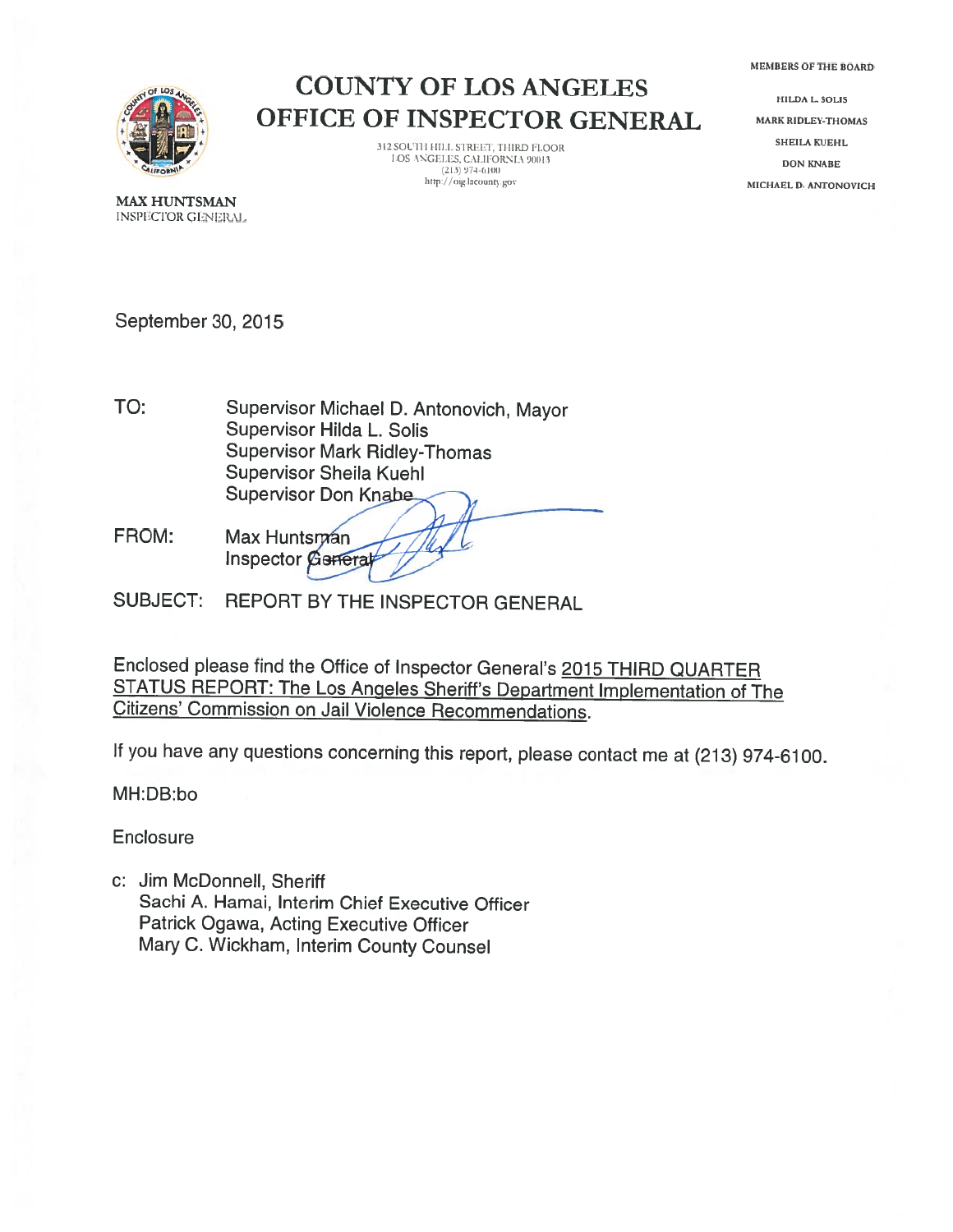MEMBERS OF THE BOARD



### COUNTY OF LOS ANGELES OFFICE OF INSPECTOR GENERAL

312 SOUTH HILL STREET, THIRD FLOOR l.OS ANGELES, CALIFORNIA 90013<br>(213) 974-6100<br>http://oig.lacounty.gov

HILDA L. SOLIS MARK RIDLEY-THOMAS SHEILA KUEHL DON KNABE MICHAEL 0. ANTONOVICH

MAX HUNTSMAN INSPECTOR GENERAL

September 30, 2015

- Supervisor Michael D. Antonovich, Mayor Supervisor Hilda L. Solis Supervisor Mark Ridley-Thomas Supervisor Sheila Kuehi **Supervisor Don Knabe** TO:
- FROM: Max Huntsman **Inspector General**

SUBJECT: REPORT BY THE INSPECTOR GENERAL

Enclosed <sup>p</sup>lease find the Office of Inspector General's <sup>2015</sup> THIRD QUARTER STATUS REPORT: The Los Angeles Sheriff's Department Implementation of The Citizens' Commission on Jail Violence Recommendations.

If you have any questions concerning this report, <sup>p</sup>lease contact me at (213) 974-6100.

MH:DB:bo

**Enclosure** 

C: Jim McDonnell, Sheriff Sachi A. Hamai, Interim Chief Executive Officer Patrick Ogawa, Acting Executive Officer Mary C. Wickham, Interim County Counsel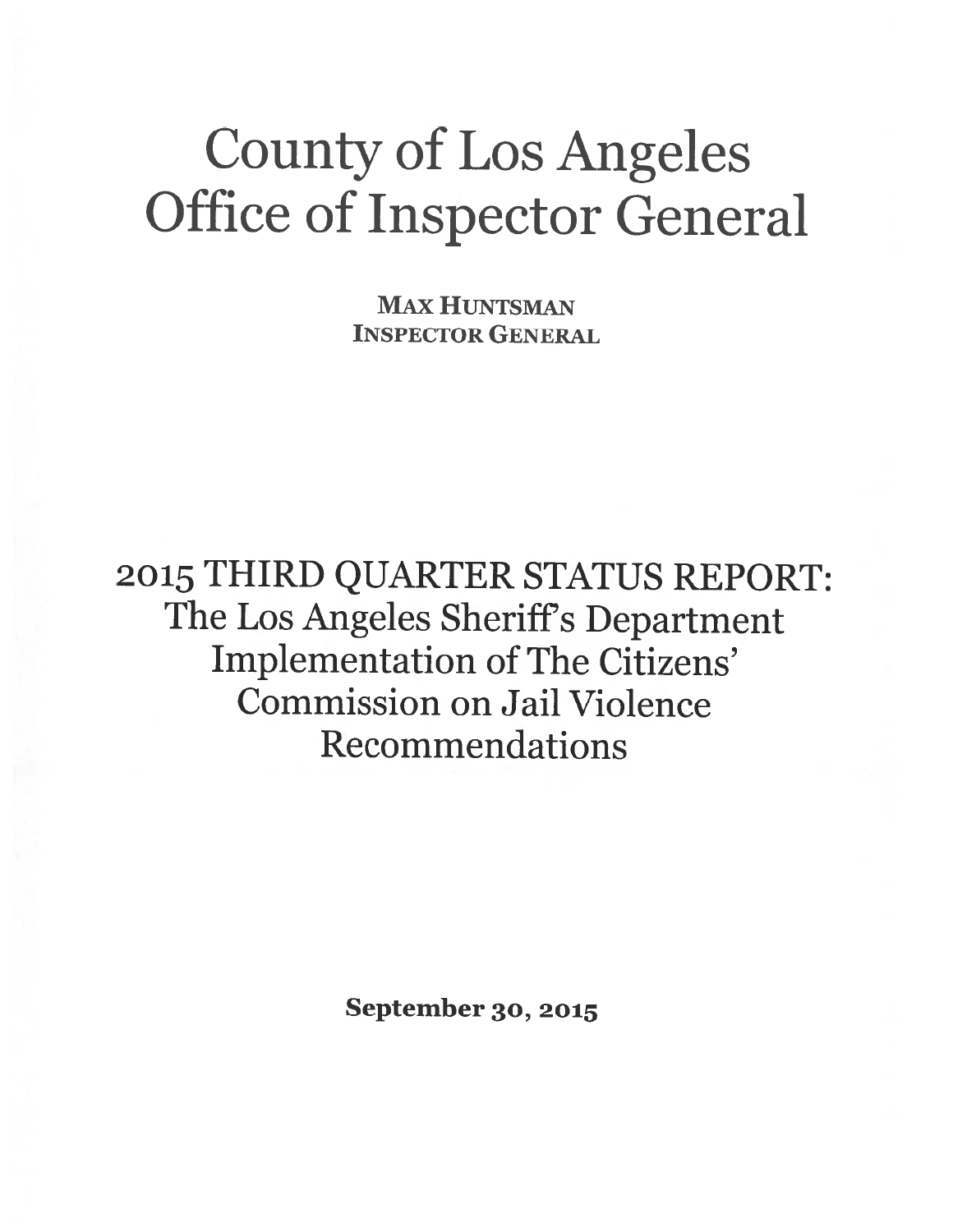# County of Los Angeles Office of Inspector General

MAX HUNTSMAN INSPECTOR GENERAL

<sup>2015</sup> THIRD QUARTER STATUS REPORT: The Los Angeles Sheriff's Department Implementation of The Citizens' Commission on Jail Violence Recommendations

September 30, <sup>2015</sup>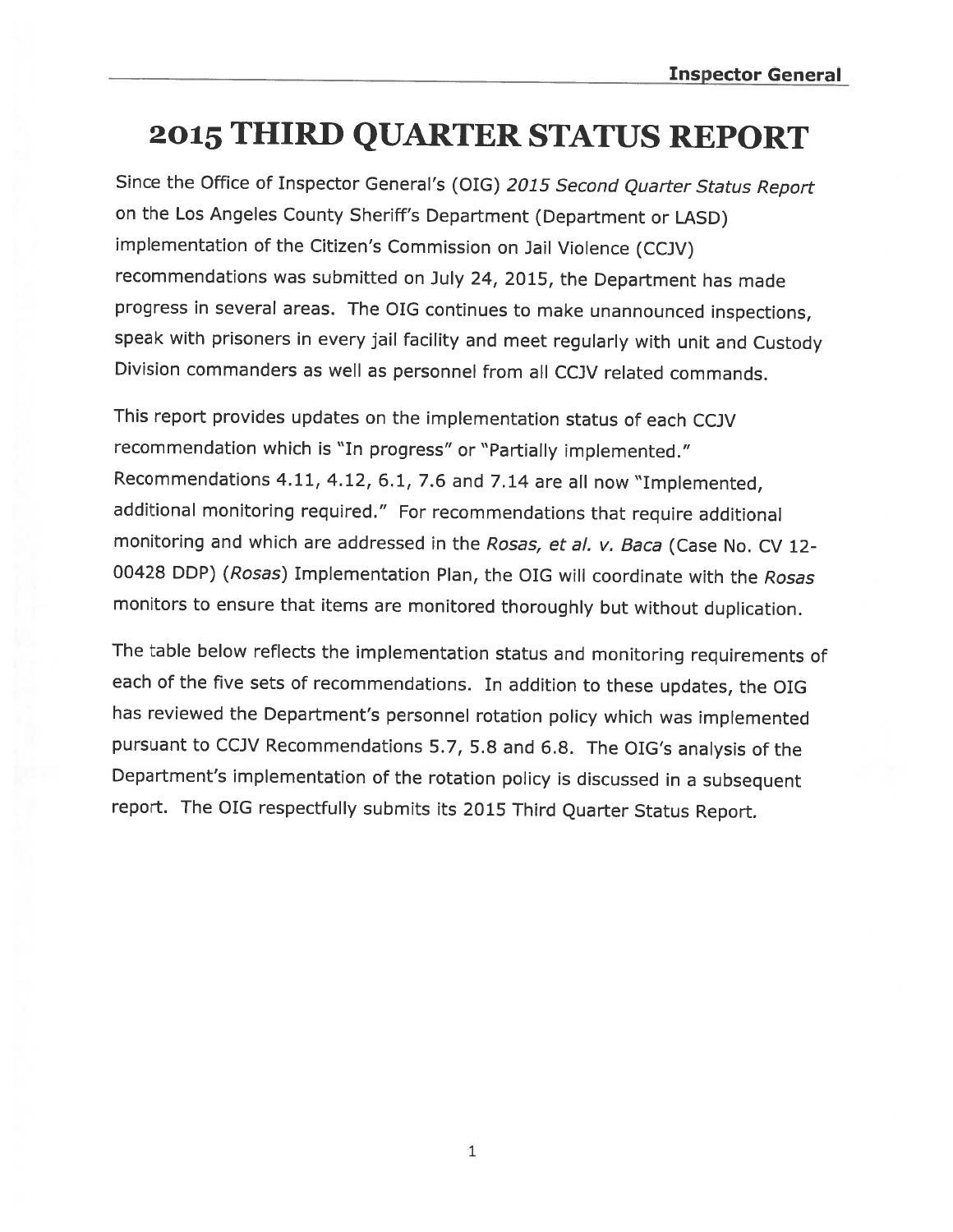# <sup>2015</sup> THIRD QUARTER STATUS REPORT

Since the Office of Inspector General's (DIG) <sup>2015</sup> Second Quarter Status Report on the Los Angeles County Sheriff's Department (Department or LASD) implementation of the Citizen's Commission on Jail Violence (CCJV) recommendations was submitted on July 24, 2015, the Department has made progress in several areas. The DIG continues to make unannounced inspections, speak with prisoners in every jail facility and meet regularly with unit and Custody Division commanders as well as personnel from all CC]V related commands.

This report provides updates on the implementation status of each CCJV recommendation which is "In progress" or "Partially implemented." Recommendations 4.11, 4.12, 6.1, 7.6 and 7.14 are all now "Implemented, additional monitoring required." For recommendations that require additional monitoring and which are addressed in the Rosas, et al. v. Baca (Case No. CV 12-00428 DDP) (Rosas) Implementation Plan, the DIG will coordinate with the Rosas monitors to ensure that items are monitored thoroughly but without duplication.

The table below reflects the implementation status and monitoring requirements of each of the five sets of recommendations. In addition to these updates, the DIG has reviewed the Department's personnel rotation policy which was implemented pursuant to CCJV Recommendations 5.7, 5.8 and 6.8. The DIG's analysis of the Department's implementation of the rotation policy is discussed in <sup>a</sup> subsequent report. The DIG respectfully submits its <sup>2015</sup> Third Quarter Status Report.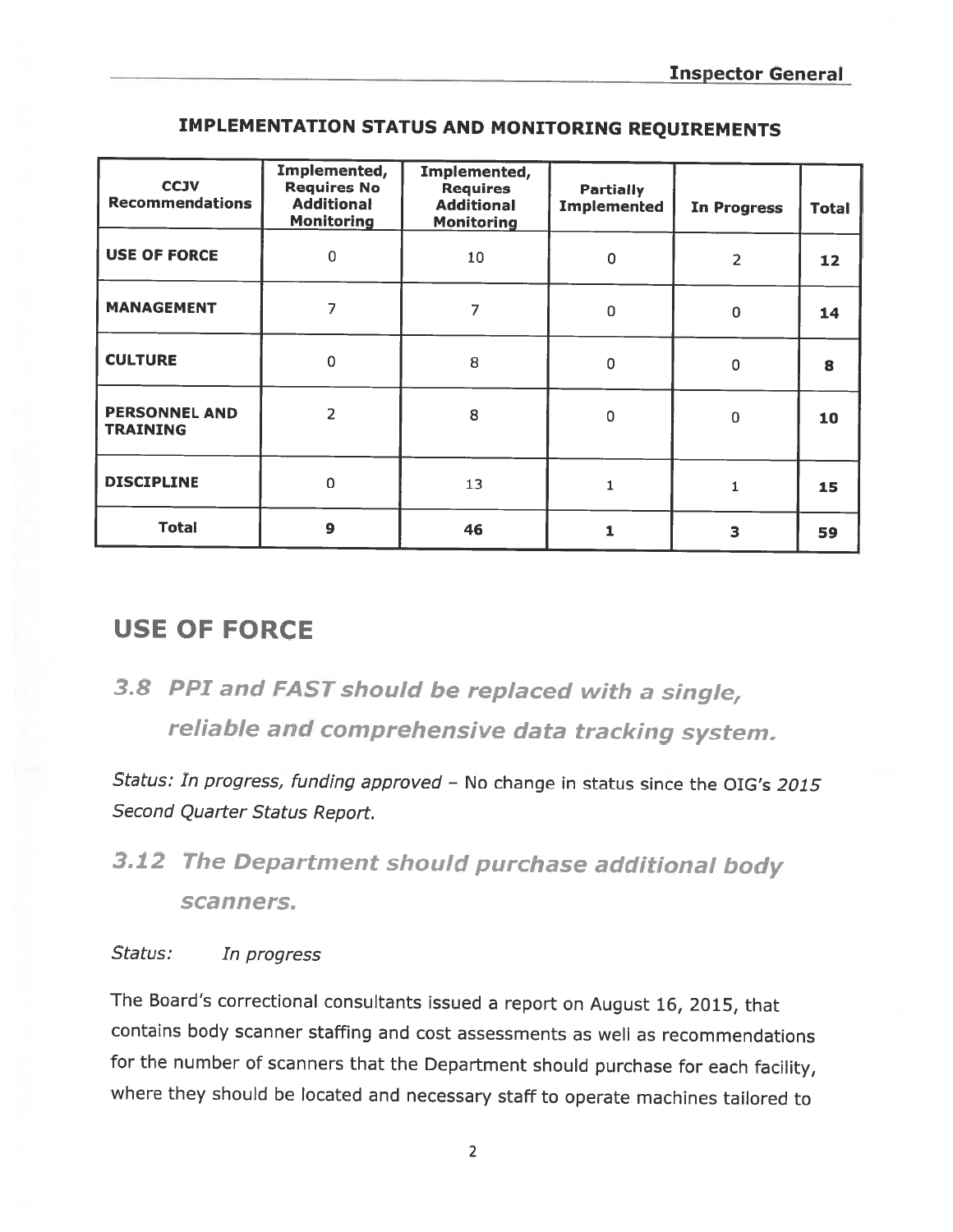| <b>CCJV</b><br><b>Recommendations</b>   | Implemented,<br><b>Requires No</b><br><b>Additional</b><br><b>Monitoring</b> | Implemented,<br><b>Requires</b><br><b>Additional</b><br><b>Monitoring</b> | <b>Partially</b><br><b>Implemented</b> | <b>In Progress</b> | Total |
|-----------------------------------------|------------------------------------------------------------------------------|---------------------------------------------------------------------------|----------------------------------------|--------------------|-------|
| <b>USE OF FORCE</b>                     | 0                                                                            | 10                                                                        | $\pmb{0}$                              | 2                  | 12    |
| <b>MANAGEMENT</b>                       | 7                                                                            | 7                                                                         | $\mathsf 0$                            | $\mathbf 0$        | 14    |
| <b>CULTURE</b>                          | $\overline{0}$                                                               | 8                                                                         | 0                                      | $\pmb{0}$          | 8     |
| <b>PERSONNEL AND</b><br><b>TRAINING</b> | 2                                                                            | 8                                                                         | 0                                      | 0                  | 10    |
| <b>DISCIPLINE</b>                       | $\Omega$                                                                     | 13                                                                        |                                        | 1                  | 15    |
| <b>Total</b>                            | $\overline{9}$                                                               | 46                                                                        | 1                                      | 3                  | 59    |

### IMPLEMENTATION STATUS AND MONITORING REQUIREMENTS

### USE OF FORCE

3.8 PPI and FAST should be replaced with <sup>a</sup> single, reliable and comprehensive data tracking system.

Status: In progress, funding approved - No change in status since the OIG's 2015 Second Quarter Status Report.

# 3.12 The Department should purchase additional body scanners.

#### Status: In progress

The Board's correctional consultants issued <sup>a</sup> report on August 16, 2015, that contains body scanner staffing and cost assessments as well as recommendations for the number of scanners that the Department should purchase for each facility, where they should be located and necessary staff to operate machines tailored to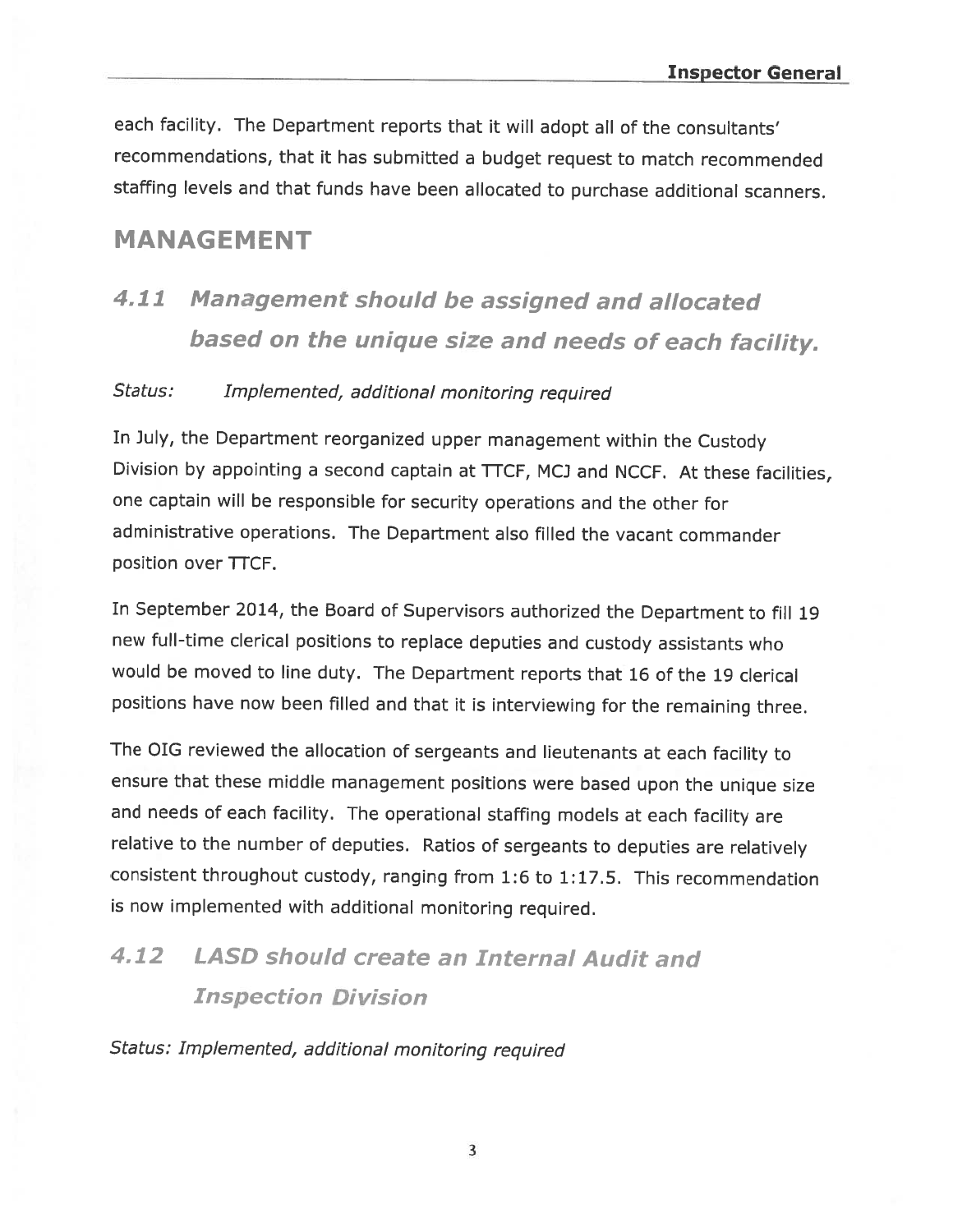each facility. The Department reports that it will adopt all of the consultants' recommendations, that it has submitted <sup>a</sup> budget request to match recommended staffing levels and that funds have been allocated to purchase additional scanners.

### MANAGEMENT

# <sup>411</sup> Management should be assigned and allocated based on the unique size and needs of each facility.

#### Status: Implemented, additional monitoring required

In July, the Department reorganized upper management within the Custody Division by appointing a second captain at TTCF, MCJ and NCCF. At these facilities, one captain will be responsible for security operations and the other for administrative operations. The Department also filled the vacant commander position over TTCF.

In September 2014, the Board of Supervisors authorized the Department to fill <sup>19</sup> new full-time clerical positions to replace deputies and custody assistants who would be moved to line duty. The Department reports that <sup>16</sup> of the <sup>19</sup> clerical positions have now been filled and that it is interviewing for the remaining three.

The DIG reviewed the allocation of sergeants and lieutenants at each facility to ensure that these middle management positions were based upon the unique size and needs of each facility. The operational staffing models at each facility are relative to the number of deputies. Ratios of sergeants to deputies are relatively consistent throughout custody, ranging from 1:6 to 1:17.5. This recommendation is now implemented with additional monitoring required.

## 4.12 LASD should create an Internal Audit and Inspection Division

Status: Implemented, additional monitoring required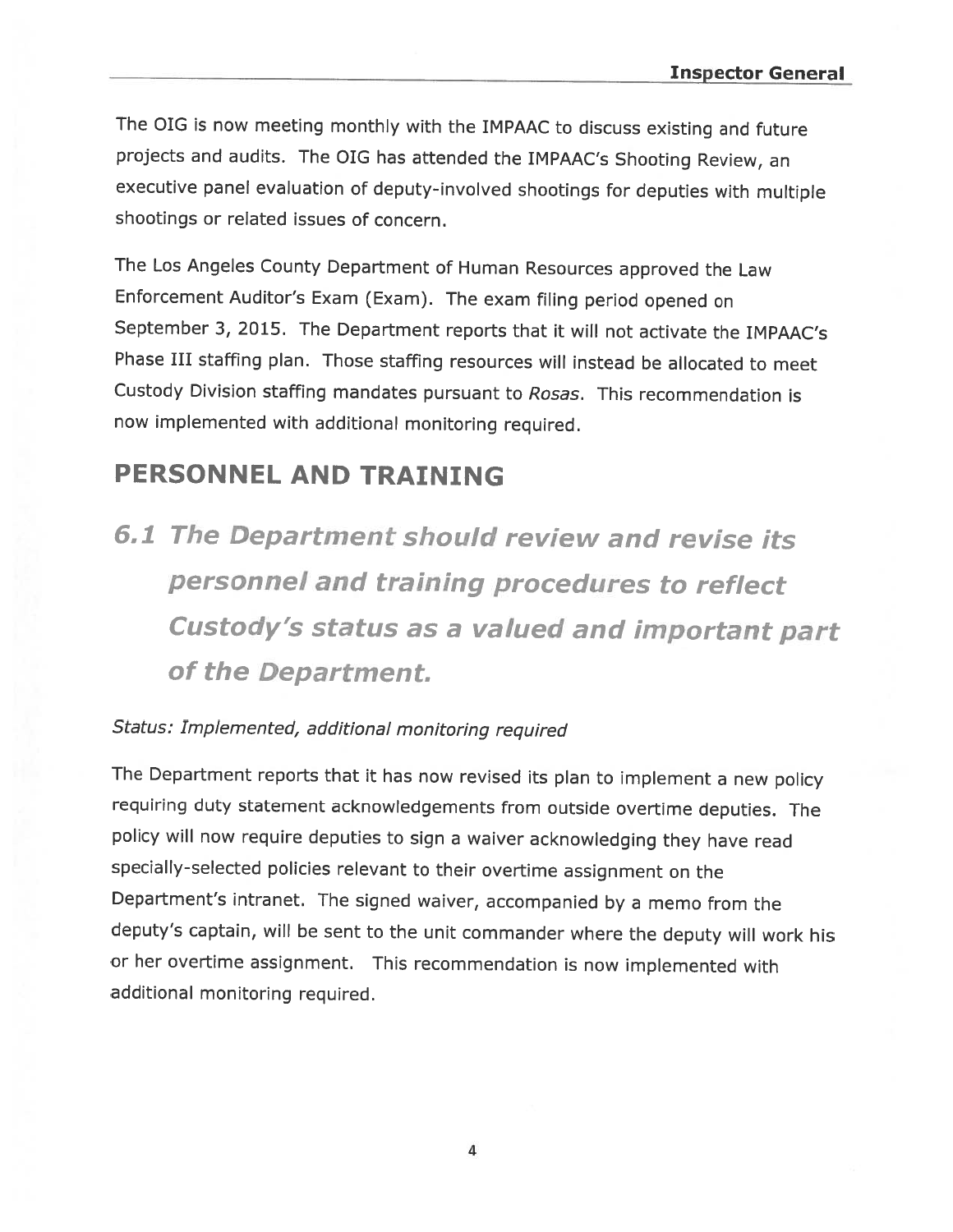The DIG is now meeting monthly with the IMPAAC to discuss existing and future projects and audits. The DIG has attended the IMPAAC's Shooting Review, an executive panel evaluation of deputy-involved shootings for deputies with multiple shootings or related issues of concern.

The Los Angeles County Department of Human Resources approved the Law Enforcement Auditor's Exam (Exam). The exam filing period opened on September 3, 2015. The Department reports that it will not activate the IMPAAC's Phase III staffing <sup>p</sup>lan. Those staffing resources will instead be allocated to meet Custody Division staffing mandates pursuant to Rosas. This recommendation is now implemented with additional monitoring required.

### PERSONNEL AND TRAINING

6.1 The Department should review and revise its personnel and training procedures to reflect Custody's status as <sup>a</sup> valued and important part of the Department.

#### Status: Implemented, additional monitoring required

The Department reports that it has now revised its <sup>p</sup>lan to implement <sup>a</sup> new policy requiring duty statement acknowledgements from outside overtime deputies. The policy will now require deputies to sign <sup>a</sup> waiver acknowledging they have read specially-selected policies relevant to their overtime assignment on the Department's intranet. The signed waiver, accompanied by <sup>a</sup> memo from the deputy's captain, will be sent to the unit commander where the deputy will work his or her overtime assignment. This recommendation is now implemented with additional monitoring required.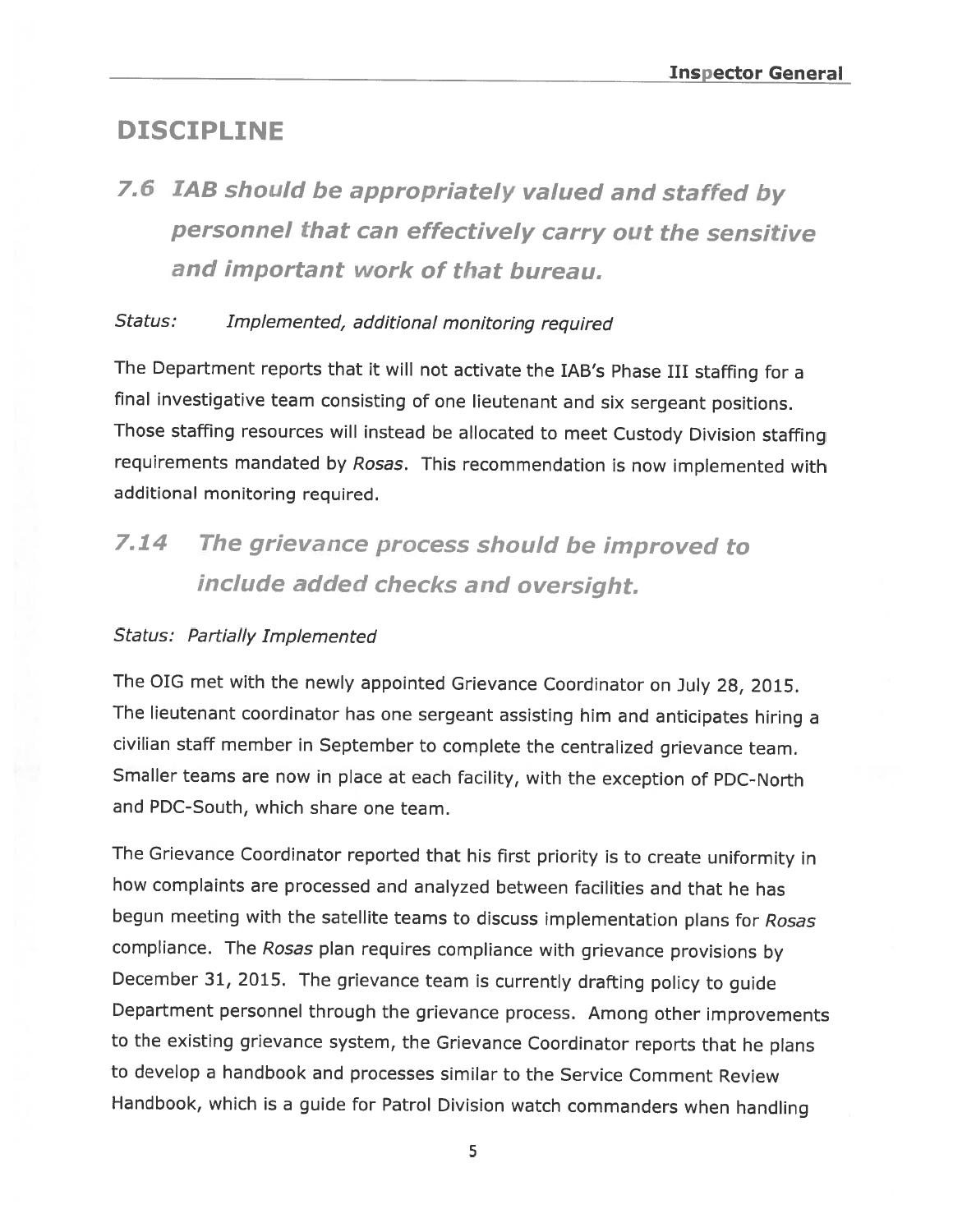### DISCIPLINE

# 7.6 IAB should be appropriately valued and staffed by personnel that can effectively carry out the sensitive and important work of that bureau.

#### Status: Implemented, additional monitoring required

The Department reports that it will not activate the JAB's Phase III staffing for <sup>a</sup> final investigative team consisting of one lieutenant and six sergeant positions. Those staffing resources will instead be allocated to meet Custody Division staffing requirements mandated by Rosas. This recommendation is now implemented with additional monitoring required.

# <sup>714</sup> The grievance process should be improved to include added checks and oversight.

#### Status: Partially Implemented

The DIG met with the newly appointed Grievance Coordinator on July 28, 2015. The lieutenant coordinator has one sergeant assisting him and anticipates hiring <sup>a</sup> civilian staff member in September to complete the centralized grievance team. Smaller teams are now in <sup>p</sup>lace at each facility, with the exception of PDC-North and PDC-South, which share one team.

The Grievance Coordinator reported that his first priority is to create uniformity in how complaints are processed and analyzed between facilities and that he has begun meeting with the satellite teams to discuss implementation plans for Rosas compliance. The Rosas plan requires compliance with grievance provisions by December 31, 2015. The grievance team is currently drafting policy to guide Department personnel through the grievance process. Among other improvements to the existing grievance system, the Grievance Coordinator reports that he <sup>p</sup>lans to develop <sup>a</sup> handbook and processes similar to the Service Comment Review Handbook, which is <sup>a</sup> guide for Patrol Division watch commanders when handling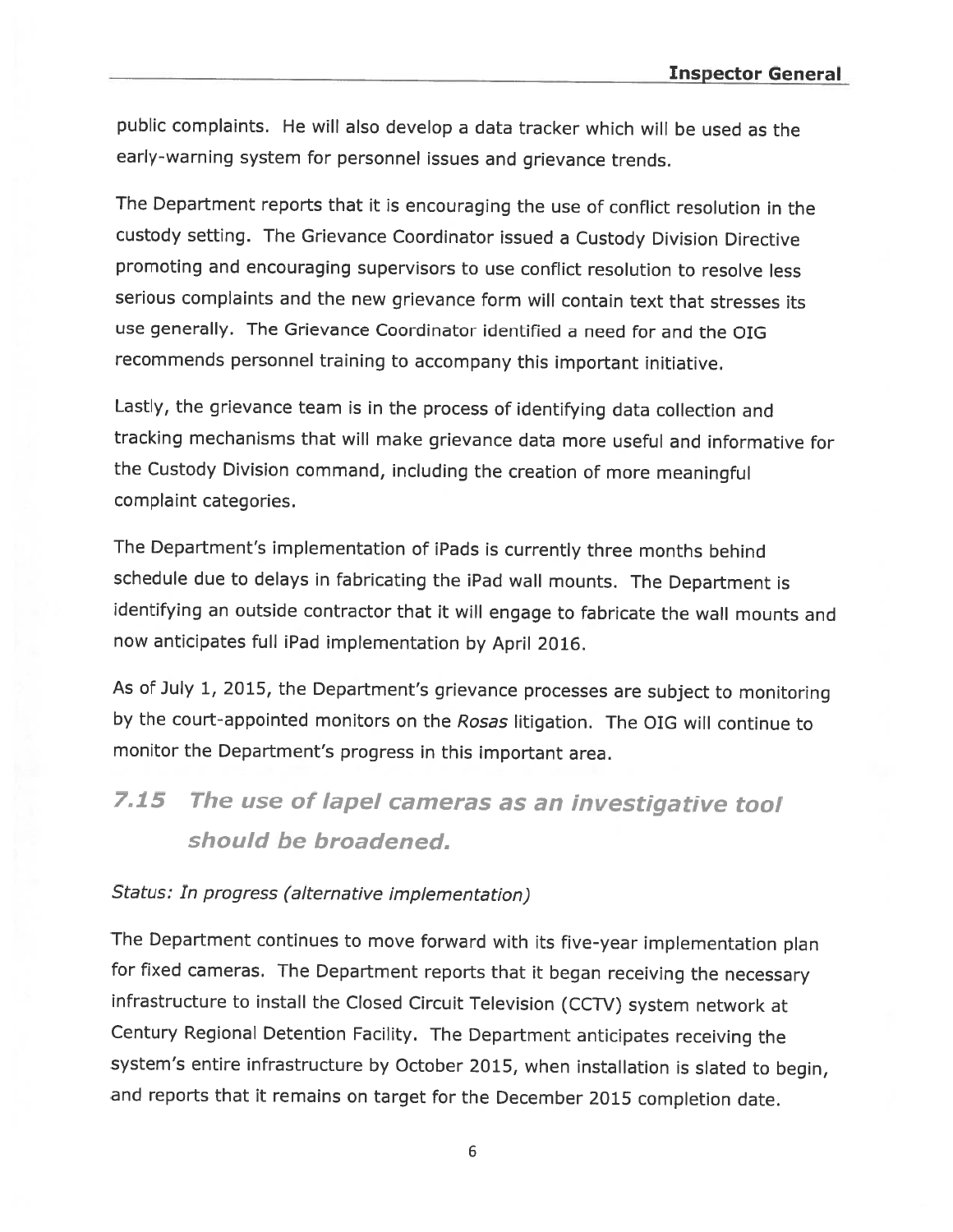public complaints. He will also develop <sup>a</sup> data tracker which will be used as the early-warning system for personnel issues and grievance trends.

The Department reports that it is encouraging the use of conflict resolution in the custody setting. The Grievance Coordinator issued <sup>a</sup> Custody Division Directive promoting and encouraging supervisors to use conflict resolution to resolve less serious complaints and the new grievance form will contain text that stresses its use generally. The Grievance Coordinator identified <sup>a</sup> need for and the OIG recommends personnel training to accompany this important initiative.

Lastly, the grievance team is in the process of identifying data collection and tracking mechanisms that will make grievance data more useful and informative for the Custody Division command, including the creation of more meaningful complaint categories.

The Department's implementation of iPads is currently three months behind schedule due to delays in fabricating the iPad wall mounts. The Department is identifying an outside contractor that it will engage to fabricate the wall mounts and now anticipates full iPad implementation by April 2016.

As of July 1, 2015, the Department's grievance processes are subject to monitoring by the court-appointed monitors on the Rosas litigation. The OIG will continue to monitor the Department's progress in this important area.

# 7.15 The use of lapel cameras as an investigative tool should be broadened.

#### Status: In progress (alternative implementation)

The Department continues to move forward with its five-year implementation <sup>p</sup>lan for fixed cameras. The Department reports that it began receiving the necessary infrastructure to install the Closed Circuit Television (CCTV) system network at Century Regional Detention Facility. The Department anticipates receiving the system's entire infrastructure by October 2015, when installation is slated to begin, and reports that it remains on target for the December <sup>2015</sup> completion date.